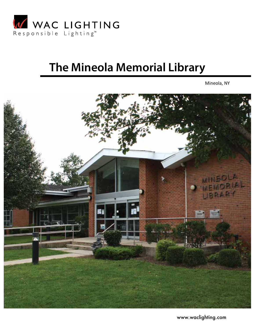

# **The Mineola Memorial Library**

Mineola, NY



www.waclighting.com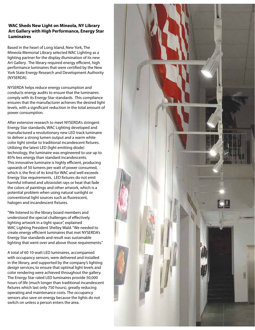## **WAC Sheds New Light on Mineola, NY Library Art Gallery with High Performance, Energy Star Luminaires**

Based in the heart of Long Island, New York, The Mineola Memorial Library selected WAC Lighting as a lighting partner for the display illumination of its new Art Gallery. The library required energy efficient, high performance luminaires that were certified by the New York State Energy Research and Development Authority (NYSERDA).

NYSERDA helps reduce energy consumption and conducts energy audits to ensure that the luminaires comply with its Energy Star standards. This compliance ensures that the manufacturer achieves the desired light levels, with a significant reduction in the total amount of power consumption.

After extensive research to meet NYSERDA's stringent Energy Star standards, WAC Lighting developed and manufactured a revolutionary new LED track luminaire to deliver a strong lumen output and a warm white color light similar to traditional incandescent fixtures. Utilizing the latest LED (light emitting diode) technology, the luminaire was engineered to use up to 85% less energy than standard incandescents. This innovative luminaire is highly efficient, producing upwards of 50 lumens per watt of power consumed, which is the first of its kind for WAC and well exceeds Energy Star requirements. LED fixtures do not emit harmful infrared and ultraviolet rays or heat that fade the colors of paintings and other artwork, which is a potential problem when using natural sunlight or conventional light sources such as fluorescent, halogen and incandescent fixtures.

"We listened to the library board members and understood the special challenges of effectively lighting artwork in a tight space", explained WAC Lighting President Shelley Wald. "We needed to create energy efficient luminaires that met NYSERDA's Energy Star standards and result was sustainable lighting that went over and above those requirements."

A total of 60 10-watt LED luminaires, accompanied with occupancy sensors, were delivered and installed in the library, and supported by the company's lighting design services, to ensure that optimal light levels and color rendering were achieved throughout the gallery. The Energy Star rated LED luminaires provide 50,000 hours of life (much longer than traditional incandescent fixtures which last only 750 hours), greatly reducing operating and maintenance costs. The occupancy sensors also save on energy because the lights do not switch on unless a person enters the area.

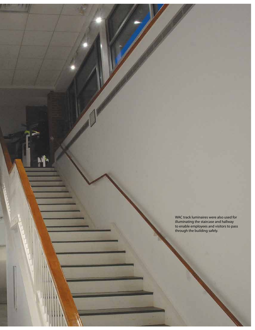WAC track luminaires were also used for illuminating the staircase and hallway to enable employees and visitors to pass through the building safely.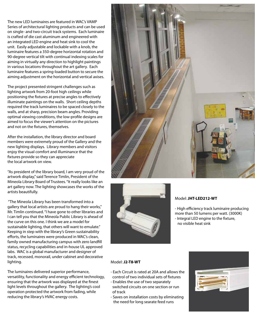The new LED luminaires are featured in WAC's VAMP Series of architectural lighting products and can be used on single- and two-circuit track systems. Each luminaire is crafted of die cast aluminum and engineered with an integrated LED engine and heat sink to cool the unit. Easily adjustable and lockable with a knob, the luminaire features a 350-degree horizontal rotation and 90-degree vertical tilt with continual indexing scales for aiming in virtually any direction to highlight paintings in various locations throughout the art gallery. Each luminaire features a spring-loaded button to secure the aiming adjustment on the horizontal and vertical axises.

The project presented stringent challenges such as lighting artwork from 20-foot high ceilings while positioning the fixtures at precise angles to effectively illuminate paintings on the walls. Short ceiling depths required the track luminaires to be spaced closely to the walls, and at sharp, precision beam angles. Providing optimal viewing conditions, the low-profile designs are aimed to focus the viewer's attention on the pictures and not on the fixtures, themselves.

After the installation, the library director and board members were extremely proud of the Gallery and the new lighting displays. Library members and visitors enjoy the visual comfort and illuminance that the fixtures provide so they can appreciate the local artwork on view.

"As president of the library board, I am very proud of the artwork display," said Terence Timlin, President of the Mineola Library Board of Trustees. "It really looks like an art gallery now. The lighting showcases the works of the artists beautifully.

 "The Mineola Library has been transformed into a gallery that local artists are proud to hang their works," Mr. Timlin continued. "I have gone to other libraries and I can tell you that the Mineola Public Library is ahead of the curve on this one. I think we are a model for sustainable lighting, that others will want to emulate." Keeping in step with the library's Green sustainability efforts, the luminaires were produced in WAC's clean, family owned manufacturing campus with zero landfill status, recycling capabilities and in-house UL approved labs. WAC is a global manufacturer and designer of track, recessed, monorail, under cabinet and decorative lighting.

The luminaires delivered superior performance, versatility, functionality and energy efficient technology, ensuring that the artwork was displayed at the finest light levels throughout the gallery. The lighting's cool operation protected the artwork from fading, while reducing the library's HVAC energy costs.





## Model: **JHT-LED212-WT**

- High efficiency track luminaire producing more than 50 lumens per watt. (3000K) - Integral LED engine to the fixture, no visible heat sink

#### Model: **J2-T8-WT**

- Each Circuit is rated at 20A and allows the control of two individual sets of fixtures
- Enables the use of two separately switched circuits on one section or run of track
- Saves on installation costs by eliminating the need for long searate feed runs

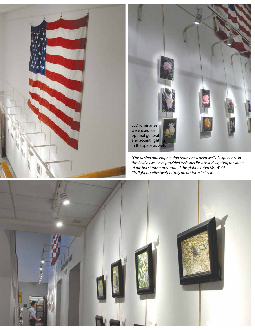